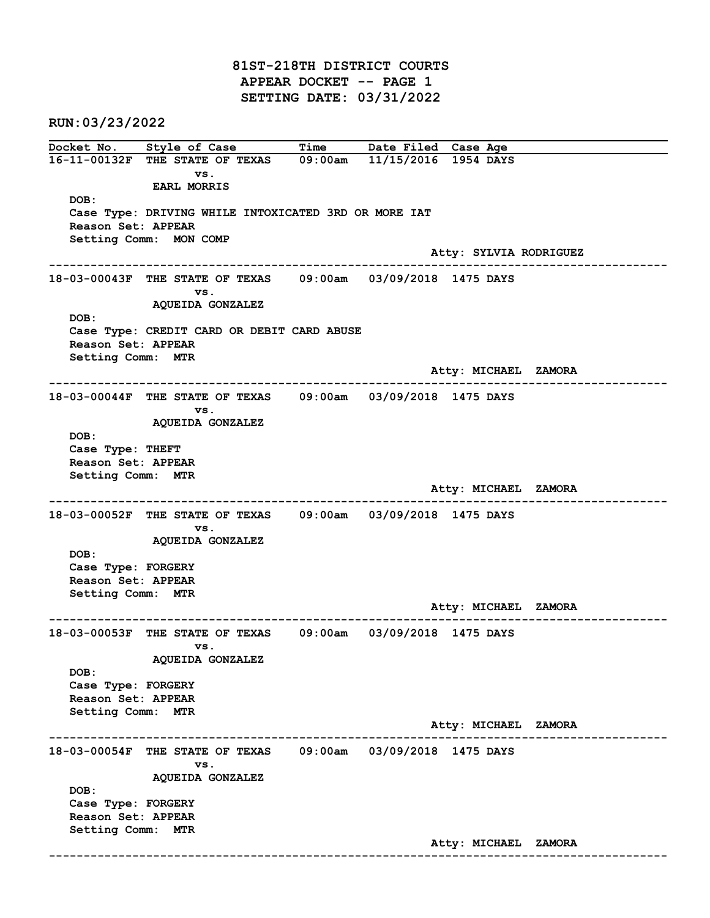81ST-218TH DISTRICT COURTS APPEAR DOCKET -- PAGE 1 SETTING DATE: 03/31/2022

RUN:03/23/2022

Docket No. Style of Case Time Date Filed Case Age 16-11-00132F THE STATE OF TEXAS 09:00am 11/15/2016 1954 DAYS vs. EARL MORRIS DOB: Case Type: DRIVING WHILE INTOXICATED 3RD OR MORE IAT Reason Set: APPEAR Setting Comm: MON COMP Atty: SYLVIA RODRIGUEZ ------------------------------------------------------------------------------------------------------------------------ 18-03-00043F THE STATE OF TEXAS 09:00am 03/09/2018 1475 DAYS vs. AQUEIDA GONZALEZ DOB: Case Type: CREDIT CARD OR DEBIT CARD ABUSE Reason Set: APPEAR Setting Comm: MTR Atty: MICHAEL ZAMORA ------------------------------------------------------------------------------------------------------------------------ 18-03-00044F THE STATE OF TEXAS 09:00am 03/09/2018 1475 DAYS vs. AQUEIDA GONZALEZ DOB: Case Type: THEFT Reason Set: APPEAR Setting Comm: MTR Atty: MICHAEL ZAMORA ------------------------------------------------------------------------------------------------------------------------ 18-03-00052F THE STATE OF TEXAS 09:00am 03/09/2018 1475 DAYS vs. AQUEIDA GONZALEZ DOB: Case Type: FORGERY Reason Set: APPEAR Setting Comm: MTR Atty: MICHAEL ZAMORA ------------------------------------------------------------------------------------------------------------------------ 18-03-00053F THE STATE OF TEXAS 09:00am 03/09/2018 1475 DAYS vs. AQUEIDA GONZALEZ DOB: Case Type: FORGERY Reason Set: APPEAR Setting Comm: MTR Atty: MICHAEL ZAMORA ------------------------------------------------------------------------------------------------------------------------ 18-03-00054F THE STATE OF TEXAS 09:00am 03/09/2018 1475 DAYS vs. AQUEIDA GONZALEZ DOB: Case Type: FORGERY Reason Set: APPEAR Setting Comm: MTR Atty: MICHAEL ZAMORA ------------------------------------------------------------------------------------------------------------------------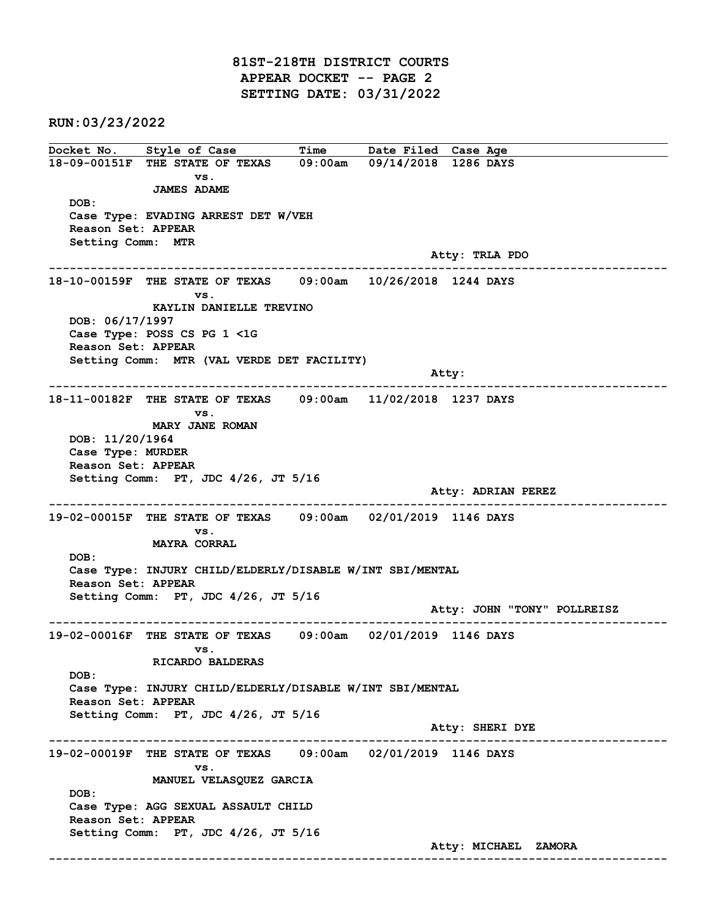81ST-218TH DISTRICT COURTS APPEAR DOCKET -- PAGE 2 SETTING DATE: 03/31/2022

RUN:03/23/2022

Docket No. Style of Case Time Date Filed Case Age 18-09-00151F THE STATE OF TEXAS 09:00am 09/14/2018 1286 DAYS vs. JAMES ADAME DOB: Case Type: EVADING ARREST DET W/VEH Reason Set: APPEAR Setting Comm: MTR Atty: TRLA PDO ------------------------------------------------------------------------------------------------------------------------ 18-10-00159F THE STATE OF TEXAS 09:00am 10/26/2018 1244 DAYS vs. KAYLIN DANIELLE TREVINO DOB: 06/17/1997 Case Type: POSS CS PG 1 <1G Reason Set: APPEAR Setting Comm: MTR (VAL VERDE DET FACILITY) Atty: ------------------------------------------------------------------------------------------------------------------------ 18-11-00182F THE STATE OF TEXAS 09:00am 11/02/2018 1237 DAYS vs. MARY JANE ROMAN DOB: 11/20/1964 Case Type: MURDER Reason Set: APPEAR Setting Comm: PT, JDC 4/26, JT 5/16 Atty: ADRIAN PEREZ ------------------------------------------------------------------------------------------------------------------------ 19-02-00015F THE STATE OF TEXAS 09:00am 02/01/2019 1146 DAYS vs. MAYRA CORRAL DOB: Case Type: INJURY CHILD/ELDERLY/DISABLE W/INT SBI/MENTAL Reason Set: APPEAR Setting Comm: PT, JDC 4/26, JT 5/16 Atty: JOHN "TONY" POLLREISZ ------------------------------------------------------------------------------------------------------------------------ 19-02-00016F THE STATE OF TEXAS 09:00am 02/01/2019 1146 DAYS vs. RICARDO BALDERAS DOB: Case Type: INJURY CHILD/ELDERLY/DISABLE W/INT SBI/MENTAL Reason Set: APPEAR Setting Comm: PT, JDC 4/26, JT 5/16 Atty: SHERI DYE ------------------------------------------------------------------------------------------------------------------------ 19-02-00019F THE STATE OF TEXAS 09:00am 02/01/2019 1146 DAYS vs. MANUEL VELASQUEZ GARCIA DOB: Case Type: AGG SEXUAL ASSAULT CHILD Reason Set: APPEAR Setting Comm: PT, JDC 4/26, JT 5/16 Atty: MICHAEL ZAMORA ------------------------------------------------------------------------------------------------------------------------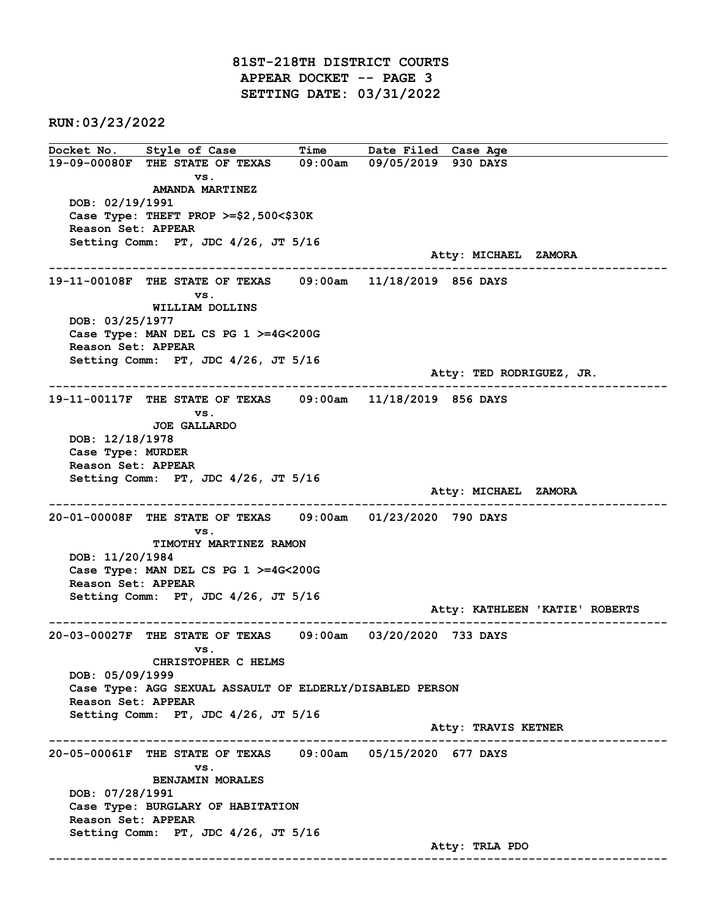81ST-218TH DISTRICT COURTS APPEAR DOCKET -- PAGE 3 SETTING DATE: 03/31/2022

RUN:03/23/2022

Docket No. Style of Case Time Date Filed Case Age 19-09-00080F THE STATE OF TEXAS 09:00am 09/05/2019 930 DAYS vs. AMANDA MARTINEZ DOB: 02/19/1991 Case Type: THEFT PROP >=\$2,500<\$30K Reason Set: APPEAR Setting Comm: PT, JDC 4/26, JT 5/16 Atty: MICHAEL ZAMORA ------------------------------------------------------------------------------------------------------------------------ 19-11-00108F THE STATE OF TEXAS 09:00am 11/18/2019 856 DAYS vs. WILLIAM DOLLINS DOB: 03/25/1977 Case Type: MAN DEL CS PG 1 >=4G<200G Reason Set: APPEAR Setting Comm: PT, JDC 4/26, JT 5/16 Atty: TED RODRIGUEZ, JR. ------------------------------------------------------------------------------------------------------------------------ 19-11-00117F THE STATE OF TEXAS 09:00am 11/18/2019 856 DAYS vs. JOE GALLARDO DOB: 12/18/1978 Case Type: MURDER Reason Set: APPEAR Setting Comm: PT, JDC 4/26, JT 5/16 Atty: MICHAEL ZAMORA ------------------------------------------------------------------------------------------------------------------------ 20-01-00008F THE STATE OF TEXAS 09:00am 01/23/2020 790 DAYS vs. TIMOTHY MARTINEZ RAMON DOB: 11/20/1984 Case Type: MAN DEL CS PG 1 >=4G<200G Reason Set: APPEAR Setting Comm: PT, JDC 4/26, JT 5/16 Atty: KATHLEEN 'KATIE' ROBERTS ------------------------------------------------------------------------------------------------------------------------ 20-03-00027F THE STATE OF TEXAS 09:00am 03/20/2020 733 DAYS vs. CHRISTOPHER C HELMS DOB: 05/09/1999 Case Type: AGG SEXUAL ASSAULT OF ELDERLY/DISABLED PERSON Reason Set: APPEAR Setting Comm: PT, JDC 4/26, JT 5/16 Atty: TRAVIS KETNER ------------------------------------------------------------------------------------------------------------------------ 20-05-00061F THE STATE OF TEXAS 09:00am 05/15/2020 677 DAYS vs. BENJAMIN MORALES DOB: 07/28/1991 Case Type: BURGLARY OF HABITATION Reason Set: APPEAR Setting Comm: PT, JDC 4/26, JT 5/16 Atty: TRLA PDO ------------------------------------------------------------------------------------------------------------------------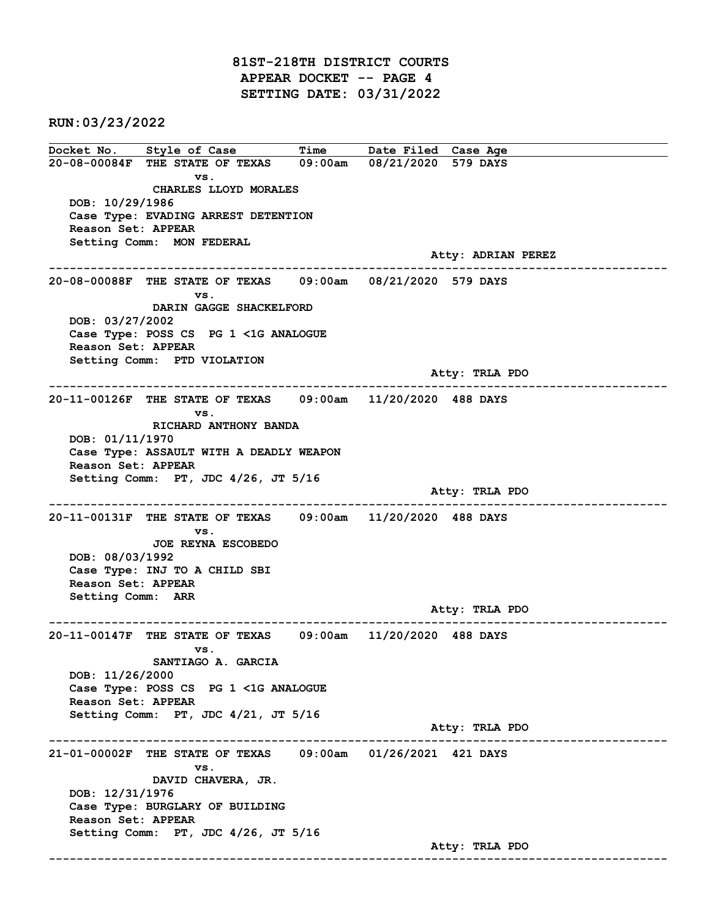81ST-218TH DISTRICT COURTS APPEAR DOCKET -- PAGE 4 SETTING DATE: 03/31/2022

RUN:03/23/2022

Docket No. Style of Case Time Date Filed Case Age 20-08-00084F THE STATE OF TEXAS 09:00am 08/21/2020 579 DAYS vs. CHARLES LLOYD MORALES DOB: 10/29/1986 Case Type: EVADING ARREST DETENTION Reason Set: APPEAR Setting Comm: MON FEDERAL Atty: ADRIAN PEREZ ------------------------------------------------------------------------------------------------------------------------ 20-08-00088F THE STATE OF TEXAS 09:00am 08/21/2020 579 DAYS vs. DARIN GAGGE SHACKELFORD DOB: 03/27/2002 Case Type: POSS CS PG 1 <1G ANALOGUE Reason Set: APPEAR Setting Comm: PTD VIOLATION Atty: TRLA PDO ------------------------------------------------------------------------------------------------------------------------ 20-11-00126F THE STATE OF TEXAS 09:00am 11/20/2020 488 DAYS vs. RICHARD ANTHONY BANDA DOB: 01/11/1970 Case Type: ASSAULT WITH A DEADLY WEAPON Reason Set: APPEAR Setting Comm: PT, JDC 4/26, JT 5/16 Atty: TRLA PDO ------------------------------------------------------------------------------------------------------------------------ 20-11-00131F THE STATE OF TEXAS 09:00am 11/20/2020 488 DAYS vs. JOE REYNA ESCOBEDO DOB: 08/03/1992 Case Type: INJ TO A CHILD SBI Reason Set: APPEAR Setting Comm: ARR Atty: TRLA PDO ------------------------------------------------------------------------------------------------------------------------ 20-11-00147F THE STATE OF TEXAS 09:00am 11/20/2020 488 DAYS vs. SANTIAGO A. GARCIA DOB: 11/26/2000 Case Type: POSS CS PG 1 <1G ANALOGUE Reason Set: APPEAR Setting Comm: PT, JDC 4/21, JT 5/16 Atty: TRLA PDO ------------------------------------------------------------------------------------------------------------------------ 21-01-00002F THE STATE OF TEXAS 09:00am 01/26/2021 421 DAYS vs. DAVID CHAVERA, JR. DOB: 12/31/1976 Case Type: BURGLARY OF BUILDING Reason Set: APPEAR Setting Comm: PT, JDC 4/26, JT 5/16 Atty: TRLA PDO ------------------------------------------------------------------------------------------------------------------------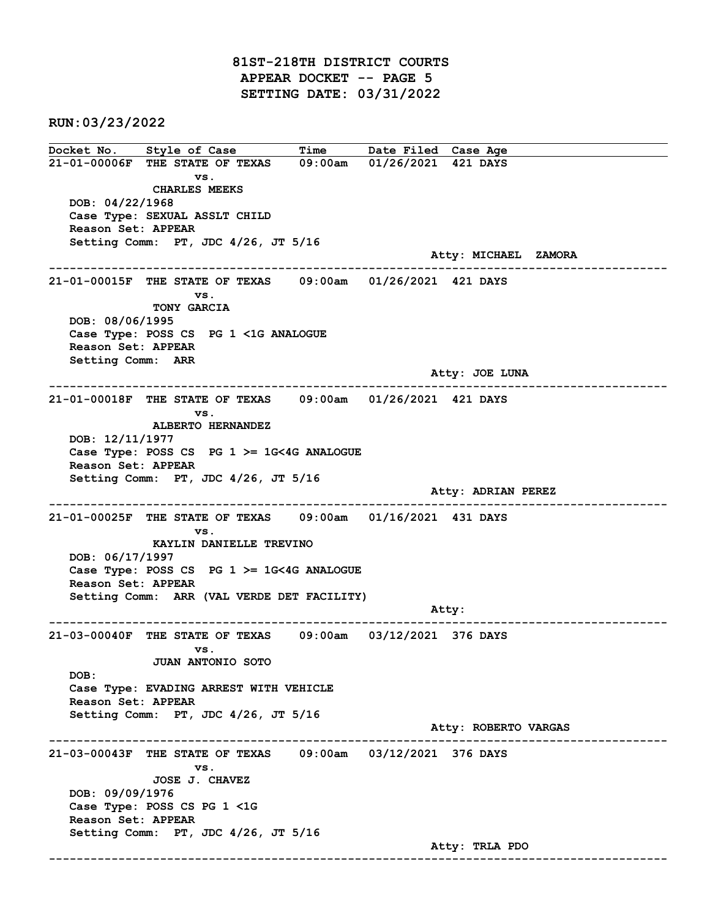81ST-218TH DISTRICT COURTS APPEAR DOCKET -- PAGE 5 SETTING DATE: 03/31/2022

RUN:03/23/2022

Docket No. Style of Case Time Date Filed Case Age 21-01-00006F THE STATE OF TEXAS 09:00am 01/26/2021 421 DAYS vs. CHARLES MEEKS DOB: 04/22/1968 Case Type: SEXUAL ASSLT CHILD Reason Set: APPEAR Setting Comm: PT, JDC 4/26, JT 5/16 Atty: MICHAEL ZAMORA ------------------------------------------------------------------------------------------------------------------------ 21-01-00015F THE STATE OF TEXAS 09:00am 01/26/2021 421 DAYS vs. TONY GARCIA DOB: 08/06/1995 Case Type: POSS CS PG 1 <1G ANALOGUE Reason Set: APPEAR Setting Comm: ARR Atty: JOE LUNA ------------------------------------------------------------------------------------------------------------------------ 21-01-00018F THE STATE OF TEXAS 09:00am 01/26/2021 421 DAYS vs. ALBERTO HERNANDEZ DOB: 12/11/1977 Case Type: POSS CS PG 1 >= 1G<4G ANALOGUE Reason Set: APPEAR Setting Comm: PT, JDC 4/26, JT 5/16 Atty: ADRIAN PEREZ ------------------------------------------------------------------------------------------------------------------------ 21-01-00025F THE STATE OF TEXAS 09:00am 01/16/2021 431 DAYS vs. KAYLIN DANIELLE TREVINO DOB: 06/17/1997 Case Type: POSS CS PG 1 >= 1G<4G ANALOGUE Reason Set: APPEAR Setting Comm: ARR (VAL VERDE DET FACILITY) example of the contract of the contract of the contract of the contract of the contract of the contract of the contract of the contract of the contract of the contract of the contract of the contract of the contract of the ------------------------------------------------------------------------------------------------------------------------ 21-03-00040F THE STATE OF TEXAS 09:00am 03/12/2021 376 DAYS vs. JUAN ANTONIO SOTO DOB: Case Type: EVADING ARREST WITH VEHICLE Reason Set: APPEAR Setting Comm: PT, JDC 4/26, JT 5/16 Atty: ROBERTO VARGAS ------------------------------------------------------------------------------------------------------------------------ 21-03-00043F THE STATE OF TEXAS 09:00am 03/12/2021 376 DAYS vs. JOSE J. CHAVEZ DOB: 09/09/1976 Case Type: POSS CS PG 1 <1G Reason Set: APPEAR Setting Comm: PT, JDC 4/26, JT 5/16 Atty: TRLA PDO ------------------------------------------------------------------------------------------------------------------------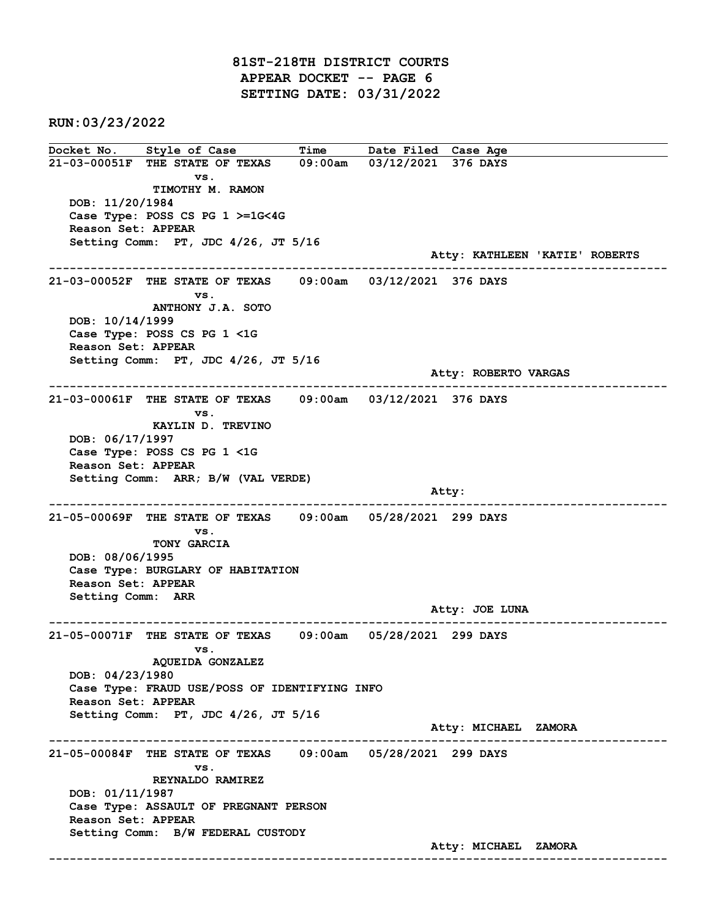81ST-218TH DISTRICT COURTS APPEAR DOCKET -- PAGE 6 SETTING DATE: 03/31/2022

RUN:03/23/2022

Docket No. Style of Case Time Date Filed Case Age 21-03-00051F THE STATE OF TEXAS 09:00am 03/12/2021 376 DAYS vs. TIMOTHY M. RAMON DOB: 11/20/1984 Case Type: POSS CS PG 1 >=1G<4G Reason Set: APPEAR Setting Comm: PT, JDC 4/26, JT 5/16 Atty: KATHLEEN 'KATIE' ROBERTS ------------------------------------------------------------------------------------------------------------------------ 21-03-00052F THE STATE OF TEXAS 09:00am 03/12/2021 376 DAYS vs. ANTHONY J.A. SOTO DOB: 10/14/1999 Case Type: POSS CS PG 1 <1G Reason Set: APPEAR Setting Comm: PT, JDC 4/26, JT 5/16 Atty: ROBERTO VARGAS ------------------------------------------------------------------------------------------------------------------------ 21-03-00061F THE STATE OF TEXAS 09:00am 03/12/2021 376 DAYS vs. KAYLIN D. TREVINO DOB: 06/17/1997 Case Type: POSS CS PG 1 <1G Reason Set: APPEAR Setting Comm: ARR; B/W (VAL VERDE) and the control of the control of the control of the control of the control of the control of the control of the control of the control of the control of the control of the control of the control of the control of the cont ------------------------------------------------------------------------------------------------------------------------ 21-05-00069F THE STATE OF TEXAS 09:00am 05/28/2021 299 DAYS vs. TONY GARCIA DOB: 08/06/1995 Case Type: BURGLARY OF HABITATION Reason Set: APPEAR Setting Comm: ARR Atty: JOE LUNA ------------------------------------------------------------------------------------------------------------------------ 21-05-00071F THE STATE OF TEXAS 09:00am 05/28/2021 299 DAYS vs. AQUEIDA GONZALEZ DOB: 04/23/1980 Case Type: FRAUD USE/POSS OF IDENTIFYING INFO Reason Set: APPEAR Setting Comm: PT, JDC 4/26, JT 5/16 Atty: MICHAEL ZAMORA ------------------------------------------------------------------------------------------------------------------------ 21-05-00084F THE STATE OF TEXAS 09:00am 05/28/2021 299 DAYS vs. REYNALDO RAMIREZ DOB: 01/11/1987 Case Type: ASSAULT OF PREGNANT PERSON Reason Set: APPEAR Setting Comm: B/W FEDERAL CUSTODY Atty: MICHAEL ZAMORA ------------------------------------------------------------------------------------------------------------------------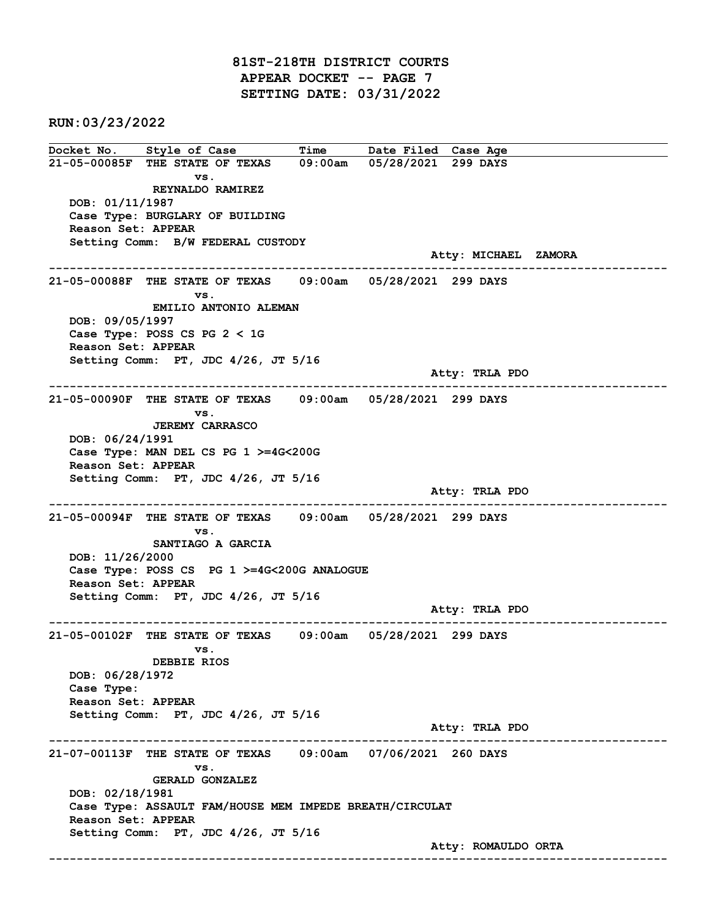81ST-218TH DISTRICT COURTS APPEAR DOCKET -- PAGE 7 SETTING DATE: 03/31/2022

RUN:03/23/2022

Docket No. Style of Case Time Date Filed Case Age 21-05-00085F THE STATE OF TEXAS 09:00am 05/28/2021 299 DAYS vs. REYNALDO RAMIREZ DOB: 01/11/1987 Case Type: BURGLARY OF BUILDING Reason Set: APPEAR Setting Comm: B/W FEDERAL CUSTODY Atty: MICHAEL ZAMORA ------------------------------------------------------------------------------------------------------------------------ 21-05-00088F THE STATE OF TEXAS 09:00am 05/28/2021 299 DAYS vs. EMILIO ANTONIO ALEMAN DOB: 09/05/1997 Case Type: POSS CS PG 2 < 1G Reason Set: APPEAR Setting Comm: PT, JDC 4/26, JT 5/16 Atty: TRLA PDO ------------------------------------------------------------------------------------------------------------------------ 21-05-00090F THE STATE OF TEXAS 09:00am 05/28/2021 299 DAYS vs. JEREMY CARRASCO DOB: 06/24/1991 Case Type: MAN DEL CS PG 1 >=4G<200G Reason Set: APPEAR Setting Comm: PT, JDC 4/26, JT 5/16 Atty: TRLA PDO ------------------------------------------------------------------------------------------------------------------------ 21-05-00094F THE STATE OF TEXAS 09:00am 05/28/2021 299 DAYS vs. SANTIAGO A GARCIA DOB: 11/26/2000 Case Type: POSS CS PG 1 >=4G<200G ANALOGUE Reason Set: APPEAR Setting Comm: PT, JDC 4/26, JT 5/16 Atty: TRLA PDO ------------------------------------------------------------------------------------------------------------------------ 21-05-00102F THE STATE OF TEXAS 09:00am 05/28/2021 299 DAYS vs. DEBBIE RIOS DOB: 06/28/1972 Case Type: Reason Set: APPEAR Setting Comm: PT, JDC 4/26, JT 5/16 Atty: TRLA PDO ------------------------------------------------------------------------------------------------------------------------ 21-07-00113F THE STATE OF TEXAS 09:00am 07/06/2021 260 DAYS vs. GERALD GONZALEZ DOB: 02/18/1981 Case Type: ASSAULT FAM/HOUSE MEM IMPEDE BREATH/CIRCULAT Reason Set: APPEAR Setting Comm: PT, JDC 4/26, JT 5/16 Atty: ROMAULDO ORTA ------------------------------------------------------------------------------------------------------------------------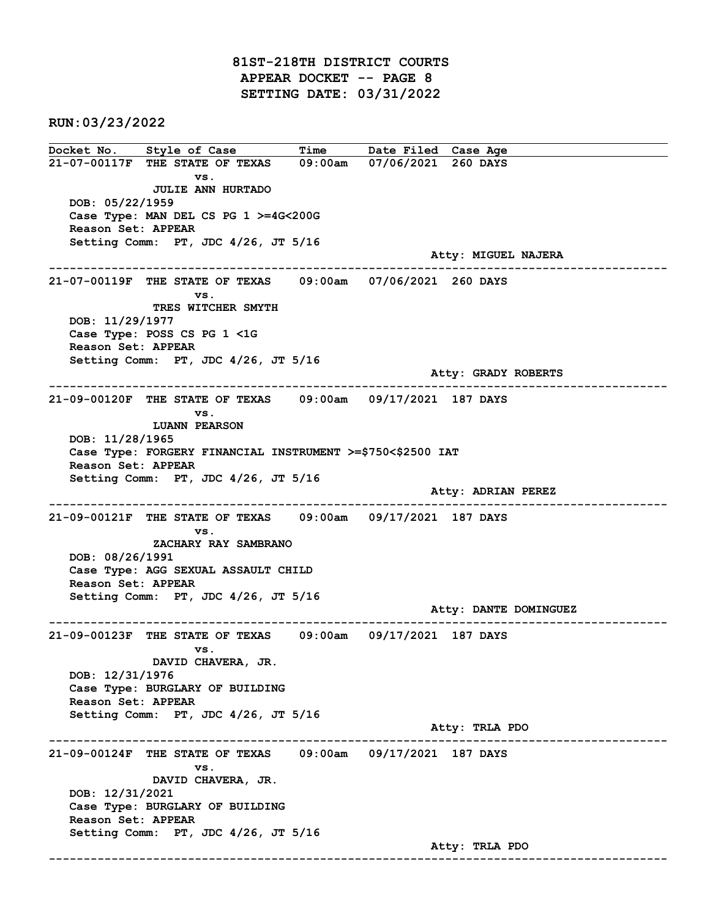81ST-218TH DISTRICT COURTS APPEAR DOCKET -- PAGE 8 SETTING DATE: 03/31/2022

RUN:03/23/2022

Docket No. Style of Case Time Date Filed Case Age 21-07-00117F THE STATE OF TEXAS 09:00am 07/06/2021 260 DAYS vs. JULIE ANN HURTADO DOB: 05/22/1959 Case Type: MAN DEL CS PG 1 >=4G<200G Reason Set: APPEAR Setting Comm: PT, JDC 4/26, JT 5/16 Atty: MIGUEL NAJERA ------------------------------------------------------------------------------------------------------------------------ 21-07-00119F THE STATE OF TEXAS 09:00am 07/06/2021 260 DAYS vs. TRES WITCHER SMYTH DOB: 11/29/1977 Case Type: POSS CS PG 1 <1G Reason Set: APPEAR Setting Comm: PT, JDC 4/26, JT 5/16 Atty: GRADY ROBERTS ------------------------------------------------------------------------------------------------------------------------ 21-09-00120F THE STATE OF TEXAS 09:00am 09/17/2021 187 DAYS vs. LUANN PEARSON DOB: 11/28/1965 Case Type: FORGERY FINANCIAL INSTRUMENT >=\$750<\$2500 IAT Reason Set: APPEAR Setting Comm: PT, JDC 4/26, JT 5/16 Atty: ADRIAN PEREZ ------------------------------------------------------------------------------------------------------------------------ 21-09-00121F THE STATE OF TEXAS 09:00am 09/17/2021 187 DAYS vs. ZACHARY RAY SAMBRANO DOB: 08/26/1991 Case Type: AGG SEXUAL ASSAULT CHILD Reason Set: APPEAR Setting Comm: PT, JDC 4/26, JT 5/16 Atty: DANTE DOMINGUEZ ------------------------------------------------------------------------------------------------------------------------ 21-09-00123F THE STATE OF TEXAS 09:00am 09/17/2021 187 DAYS vs. DAVID CHAVERA, JR. DOB: 12/31/1976 Case Type: BURGLARY OF BUILDING Reason Set: APPEAR Setting Comm: PT, JDC 4/26, JT 5/16 Atty: TRLA PDO ------------------------------------------------------------------------------------------------------------------------ 21-09-00124F THE STATE OF TEXAS 09:00am 09/17/2021 187 DAYS vs. DAVID CHAVERA, JR. DOB: 12/31/2021 Case Type: BURGLARY OF BUILDING Reason Set: APPEAR Setting Comm: PT, JDC 4/26, JT 5/16 Atty: TRLA PDO ------------------------------------------------------------------------------------------------------------------------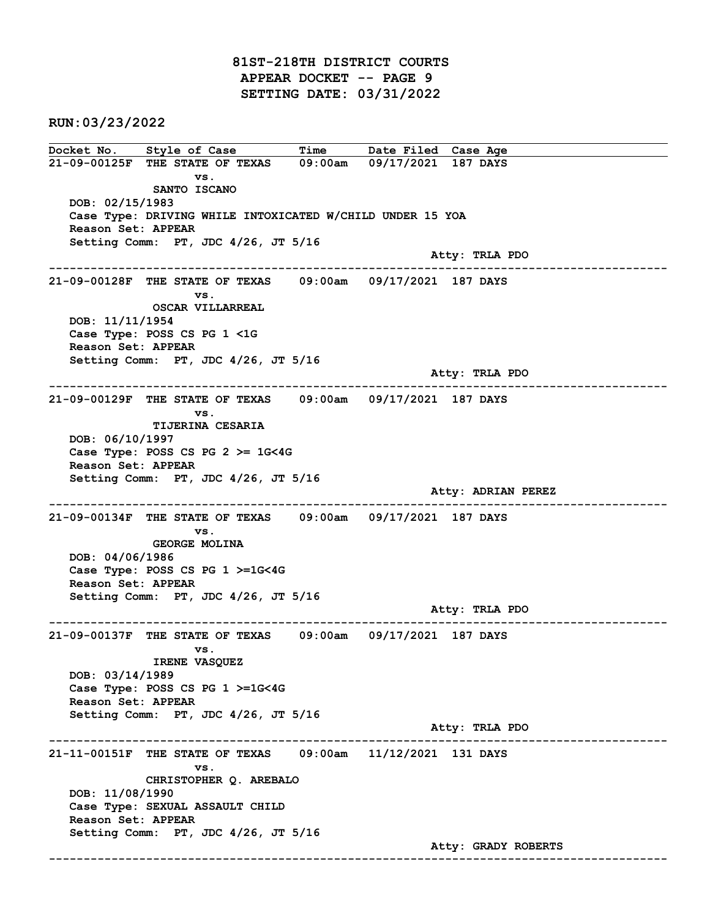81ST-218TH DISTRICT COURTS APPEAR DOCKET -- PAGE 9 SETTING DATE: 03/31/2022

RUN:03/23/2022

Docket No. Style of Case Time Date Filed Case Age 21-09-00125F THE STATE OF TEXAS 09:00am 09/17/2021 187 DAYS vs. SANTO ISCANO DOB: 02/15/1983 Case Type: DRIVING WHILE INTOXICATED W/CHILD UNDER 15 YOA Reason Set: APPEAR Setting Comm: PT, JDC 4/26, JT 5/16 Atty: TRLA PDO ------------------------------------------------------------------------------------------------------------------------ 21-09-00128F THE STATE OF TEXAS 09:00am 09/17/2021 187 DAYS vs. OSCAR VILLARREAL DOB: 11/11/1954 Case Type: POSS CS PG 1 <1G Reason Set: APPEAR Setting Comm: PT, JDC 4/26, JT 5/16 Atty: TRLA PDO ------------------------------------------------------------------------------------------------------------------------ 21-09-00129F THE STATE OF TEXAS 09:00am 09/17/2021 187 DAYS vs. TIJERINA CESARIA DOB: 06/10/1997 Case Type: POSS CS PG  $2 \ge 1$ G<4G Reason Set: APPEAR Setting Comm: PT, JDC 4/26, JT 5/16 Atty: ADRIAN PEREZ ------------------------------------------------------------------------------------------------------------------------ 21-09-00134F THE STATE OF TEXAS 09:00am 09/17/2021 187 DAYS vs. GEORGE MOLINA DOB: 04/06/1986 Case Type: POSS CS PG 1 >=1G<4G Reason Set: APPEAR Setting Comm: PT, JDC 4/26, JT 5/16 Atty: TRLA PDO ------------------------------------------------------------------------------------------------------------------------ 21-09-00137F THE STATE OF TEXAS 09:00am 09/17/2021 187 DAYS vs. IRENE VASQUEZ DOB: 03/14/1989 Case Type: POSS CS PG 1 >=1G<4G Reason Set: APPEAR Setting Comm: PT, JDC 4/26, JT 5/16 Atty: TRLA PDO ------------------------------------------------------------------------------------------------------------------------ 21-11-00151F THE STATE OF TEXAS 09:00am 11/12/2021 131 DAYS vs. CHRISTOPHER Q. AREBALO DOB: 11/08/1990 Case Type: SEXUAL ASSAULT CHILD Reason Set: APPEAR Setting Comm: PT, JDC 4/26, JT 5/16 Atty: GRADY ROBERTS ------------------------------------------------------------------------------------------------------------------------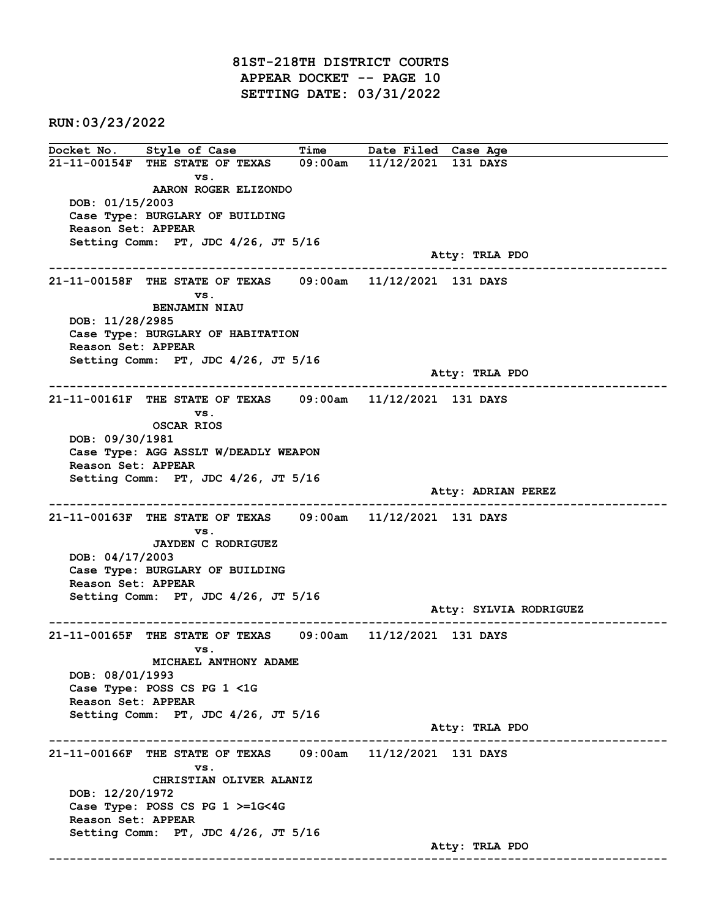81ST-218TH DISTRICT COURTS APPEAR DOCKET -- PAGE 10 SETTING DATE: 03/31/2022

RUN:03/23/2022

Docket No. Style of Case Time Date Filed Case Age 21-11-00154F THE STATE OF TEXAS 09:00am 11/12/2021 131 DAYS vs. AARON ROGER ELIZONDO DOB: 01/15/2003 Case Type: BURGLARY OF BUILDING Reason Set: APPEAR Setting Comm: PT, JDC 4/26, JT 5/16 Atty: TRLA PDO ------------------------------------------------------------------------------------------------------------------------ 21-11-00158F THE STATE OF TEXAS 09:00am 11/12/2021 131 DAYS vs. BENJAMIN NIAU DOB: 11/28/2985 Case Type: BURGLARY OF HABITATION Reason Set: APPEAR Setting Comm: PT, JDC 4/26, JT 5/16 Atty: TRLA PDO ------------------------------------------------------------------------------------------------------------------------ 21-11-00161F THE STATE OF TEXAS 09:00am 11/12/2021 131 DAYS vs. OSCAR RIOS DOB: 09/30/1981 Case Type: AGG ASSLT W/DEADLY WEAPON Reason Set: APPEAR Setting Comm: PT, JDC 4/26, JT 5/16 Atty: ADRIAN PEREZ ------------------------------------------------------------------------------------------------------------------------ 21-11-00163F THE STATE OF TEXAS 09:00am 11/12/2021 131 DAYS vs. JAYDEN C RODRIGUEZ DOB: 04/17/2003 Case Type: BURGLARY OF BUILDING Reason Set: APPEAR Setting Comm: PT, JDC 4/26, JT 5/16 Atty: SYLVIA RODRIGUEZ ------------------------------------------------------------------------------------------------------------------------ 21-11-00165F THE STATE OF TEXAS 09:00am 11/12/2021 131 DAYS vs. MICHAEL ANTHONY ADAME DOB: 08/01/1993 Case Type: POSS CS PG 1 <1G Reason Set: APPEAR Setting Comm: PT, JDC 4/26, JT 5/16 Atty: TRLA PDO ------------------------------------------------------------------------------------------------------------------------ 21-11-00166F THE STATE OF TEXAS 09:00am 11/12/2021 131 DAYS vs. CHRISTIAN OLIVER ALANIZ DOB: 12/20/1972 Case Type: POSS CS PG 1 >=1G<4G Reason Set: APPEAR Setting Comm: PT, JDC 4/26, JT 5/16 Atty: TRLA PDO ------------------------------------------------------------------------------------------------------------------------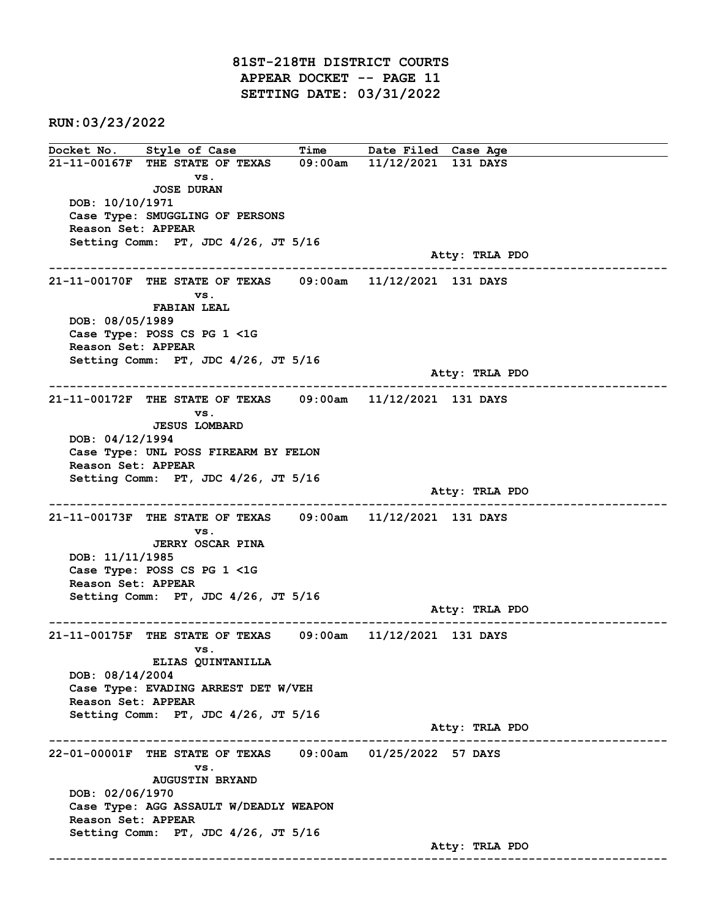81ST-218TH DISTRICT COURTS APPEAR DOCKET -- PAGE 11 SETTING DATE: 03/31/2022

RUN:03/23/2022

Docket No. Style of Case Time Date Filed Case Age 21-11-00167F THE STATE OF TEXAS 09:00am 11/12/2021 131 DAYS vs. JOSE DURAN DOB: 10/10/1971 Case Type: SMUGGLING OF PERSONS Reason Set: APPEAR Setting Comm: PT, JDC 4/26, JT 5/16 Atty: TRLA PDO ------------------------------------------------------------------------------------------------------------------------ 21-11-00170F THE STATE OF TEXAS 09:00am 11/12/2021 131 DAYS vs. FABIAN LEAL DOB: 08/05/1989 Case Type: POSS CS PG 1 <1G Reason Set: APPEAR Setting Comm: PT, JDC 4/26, JT 5/16 Atty: TRLA PDO ------------------------------------------------------------------------------------------------------------------------ 21-11-00172F THE STATE OF TEXAS 09:00am 11/12/2021 131 DAYS vs. JESUS LOMBARD DOB: 04/12/1994 Case Type: UNL POSS FIREARM BY FELON Reason Set: APPEAR Setting Comm: PT, JDC 4/26, JT 5/16 Atty: TRLA PDO ------------------------------------------------------------------------------------------------------------------------ 21-11-00173F THE STATE OF TEXAS 09:00am 11/12/2021 131 DAYS vs. JERRY OSCAR PINA DOB: 11/11/1985 Case Type: POSS CS PG 1 <1G Reason Set: APPEAR Setting Comm: PT, JDC 4/26, JT 5/16 Atty: TRLA PDO ------------------------------------------------------------------------------------------------------------------------ 21-11-00175F THE STATE OF TEXAS 09:00am 11/12/2021 131 DAYS vs. ELIAS QUINTANILLA DOB: 08/14/2004 Case Type: EVADING ARREST DET W/VEH Reason Set: APPEAR Setting Comm: PT, JDC 4/26, JT 5/16 Atty: TRLA PDO ------------------------------------------------------------------------------------------------------------------------ 22-01-00001F THE STATE OF TEXAS 09:00am 01/25/2022 57 DAYS vs. AUGUSTIN BRYAND DOB: 02/06/1970 Case Type: AGG ASSAULT W/DEADLY WEAPON Reason Set: APPEAR Setting Comm: PT, JDC 4/26, JT 5/16 Atty: TRLA PDO ------------------------------------------------------------------------------------------------------------------------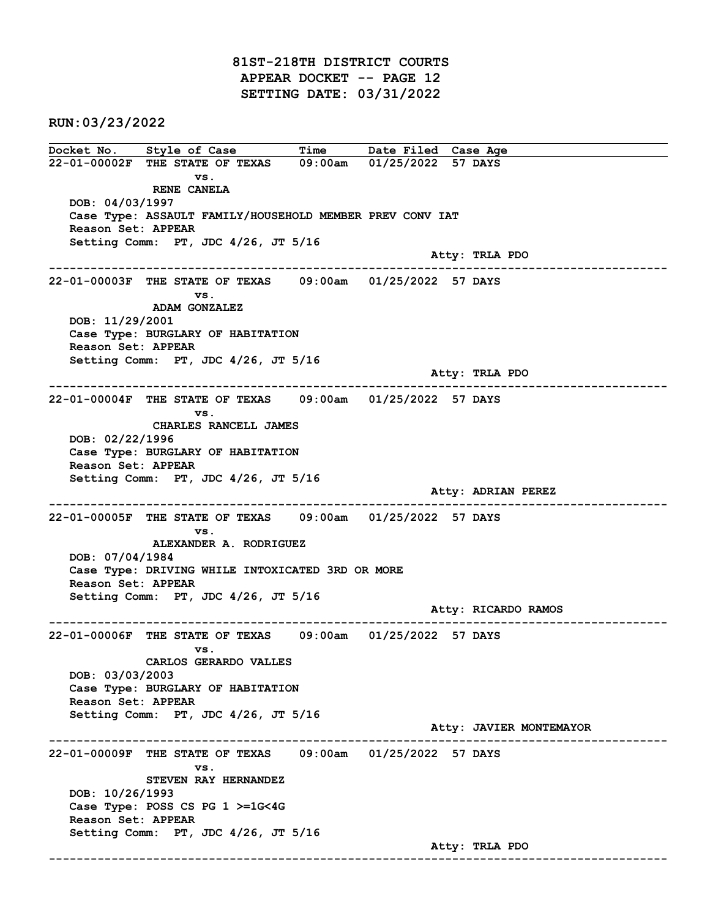81ST-218TH DISTRICT COURTS APPEAR DOCKET -- PAGE 12 SETTING DATE: 03/31/2022

RUN:03/23/2022

Docket No. Style of Case Time Date Filed Case Age 22-01-00002F THE STATE OF TEXAS 09:00am 01/25/2022 57 DAYS vs. RENE CANELA DOB: 04/03/1997 Case Type: ASSAULT FAMILY/HOUSEHOLD MEMBER PREV CONV IAT Reason Set: APPEAR Setting Comm: PT, JDC 4/26, JT 5/16 Atty: TRLA PDO ------------------------------------------------------------------------------------------------------------------------ 22-01-00003F THE STATE OF TEXAS 09:00am 01/25/2022 57 DAYS vs. ADAM GONZALEZ DOB: 11/29/2001 Case Type: BURGLARY OF HABITATION Reason Set: APPEAR Setting Comm: PT, JDC 4/26, JT 5/16 Atty: TRLA PDO ------------------------------------------------------------------------------------------------------------------------ 22-01-00004F THE STATE OF TEXAS 09:00am 01/25/2022 57 DAYS vs. CHARLES RANCELL JAMES DOB: 02/22/1996 Case Type: BURGLARY OF HABITATION Reason Set: APPEAR Setting Comm: PT, JDC 4/26, JT 5/16 Atty: ADRIAN PEREZ ------------------------------------------------------------------------------------------------------------------------ 22-01-00005F THE STATE OF TEXAS 09:00am 01/25/2022 57 DAYS vs. ALEXANDER A. RODRIGUEZ DOB: 07/04/1984 Case Type: DRIVING WHILE INTOXICATED 3RD OR MORE Reason Set: APPEAR Setting Comm: PT, JDC 4/26, JT 5/16 Atty: RICARDO RAMOS ------------------------------------------------------------------------------------------------------------------------ 22-01-00006F THE STATE OF TEXAS 09:00am 01/25/2022 57 DAYS vs. CARLOS GERARDO VALLES DOB: 03/03/2003 Case Type: BURGLARY OF HABITATION Reason Set: APPEAR Setting Comm: PT, JDC 4/26, JT 5/16 Atty: JAVIER MONTEMAYOR ------------------------------------------------------------------------------------------------------------------------ 22-01-00009F THE STATE OF TEXAS 09:00am 01/25/2022 57 DAYS vs. STEVEN RAY HERNANDEZ DOB: 10/26/1993 Case Type: POSS CS PG 1 >=1G<4G Reason Set: APPEAR Setting Comm: PT, JDC 4/26, JT 5/16 Atty: TRLA PDO ------------------------------------------------------------------------------------------------------------------------